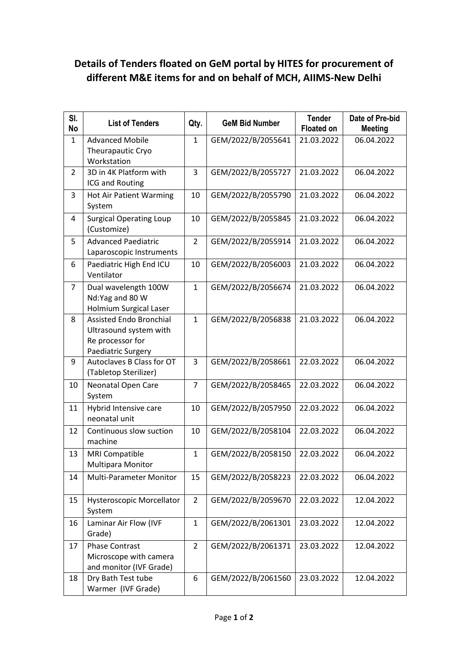## **Details of Tenders floated on GeM portal by HITES for procurement of different M&E items for and on behalf of MCH, AIIMS-New Delhi**

| SI.<br><b>No</b> | <b>List of Tenders</b>                                                                             | Qty.           | <b>GeM Bid Number</b> | <b>Tender</b><br><b>Floated on</b> | Date of Pre-bid<br><b>Meeting</b> |
|------------------|----------------------------------------------------------------------------------------------------|----------------|-----------------------|------------------------------------|-----------------------------------|
| 1                | <b>Advanced Mobile</b><br>Theurapautic Cryo<br>Workstation                                         | $\mathbf{1}$   | GEM/2022/B/2055641    | 21.03.2022                         | 06.04.2022                        |
| $\overline{2}$   | 3D in 4K Platform with<br>ICG and Routing                                                          | 3              | GEM/2022/B/2055727    | 21.03.2022                         | 06.04.2022                        |
| 3                | <b>Hot Air Patient Warming</b><br>System                                                           | 10             | GEM/2022/B/2055790    | 21.03.2022                         | 06.04.2022                        |
| 4                | <b>Surgical Operating Loup</b><br>(Customize)                                                      | 10             | GEM/2022/B/2055845    | 21.03.2022                         | 06.04.2022                        |
| 5                | <b>Advanced Paediatric</b><br>Laparoscopic Instruments                                             | 2              | GEM/2022/B/2055914    | 21.03.2022                         | 06.04.2022                        |
| 6                | Paediatric High End ICU<br>Ventilator                                                              | 10             | GEM/2022/B/2056003    | 21.03.2022                         | 06.04.2022                        |
| $\overline{7}$   | Dual wavelength 100W<br>Nd:Yag and 80 W<br><b>Holmium Surgical Laser</b>                           | $\mathbf{1}$   | GEM/2022/B/2056674    | 21.03.2022                         | 06.04.2022                        |
| 8                | <b>Assisted Endo Bronchial</b><br>Ultrasound system with<br>Re processor for<br>Paediatric Surgery | $\mathbf{1}$   | GEM/2022/B/2056838    | 21.03.2022                         | 06.04.2022                        |
| 9                | Autoclaves B Class for OT<br>(Tabletop Sterilizer)                                                 | 3              | GEM/2022/B/2058661    | 22.03.2022                         | 06.04.2022                        |
| 10               | Neonatal Open Care<br>System                                                                       | 7              | GEM/2022/B/2058465    | 22.03.2022                         | 06.04.2022                        |
| 11               | Hybrid Intensive care<br>neonatal unit                                                             | 10             | GEM/2022/B/2057950    | 22.03.2022                         | 06.04.2022                        |
| 12               | Continuous slow suction<br>machine                                                                 | 10             | GEM/2022/B/2058104    | 22.03.2022                         | 06.04.2022                        |
| 13               | <b>MRI Compatible</b><br>Multipara Monitor                                                         | $\mathbf{1}$   | GEM/2022/B/2058150    | 22.03.2022                         | 06.04.2022                        |
| 14               | Multi-Parameter Monitor                                                                            | 15             | GEM/2022/B/2058223    | 22.03.2022                         | 06.04.2022                        |
| 15               | Hysteroscopic Morcellator<br>System                                                                | $\overline{2}$ | GEM/2022/B/2059670    | 22.03.2022                         | 12.04.2022                        |
| 16               | Laminar Air Flow (IVF<br>Grade)                                                                    | $\mathbf{1}$   | GEM/2022/B/2061301    | 23.03.2022                         | 12.04.2022                        |
| 17               | <b>Phase Contrast</b><br>Microscope with camera<br>and monitor (IVF Grade)                         | $\overline{2}$ | GEM/2022/B/2061371    | 23.03.2022                         | 12.04.2022                        |
| 18               | Dry Bath Test tube<br>Warmer (IVF Grade)                                                           | 6              | GEM/2022/B/2061560    | 23.03.2022                         | 12.04.2022                        |